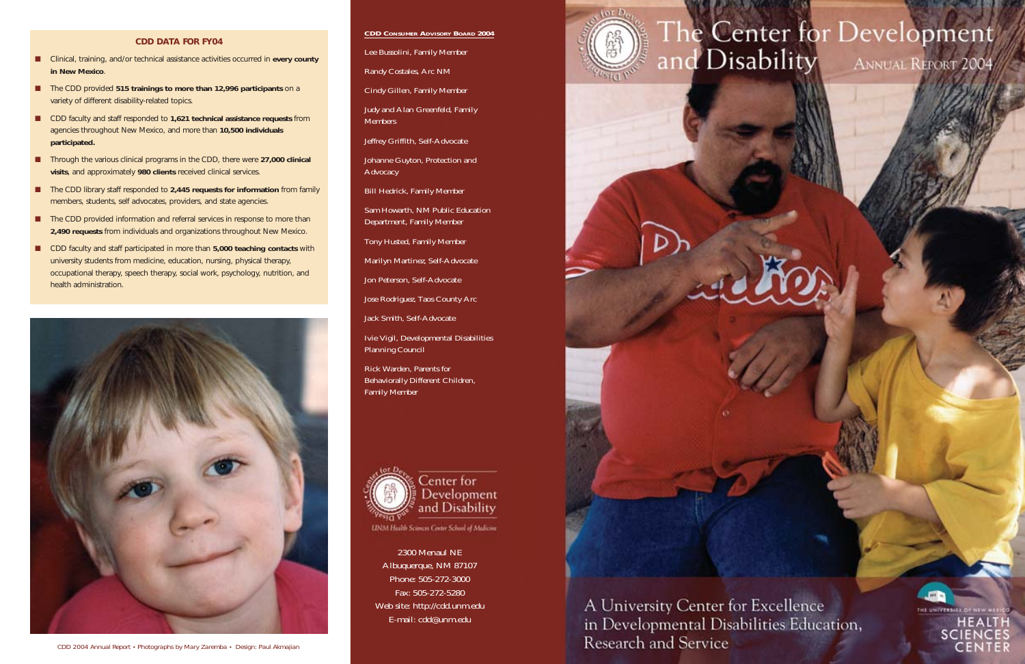**CDD CONSUMER ADVISORY BOARD 2004**

Randy Costales, Arc NM

Cindy Gillen, Family Member

Judy and Alan Greenfeld, Family Members

Jeffrey Griffith, Self-Advocate

Johanne Guyton, Protection and Advocacy

Bill Hedrick, Family Member

Sam Howarth, NM Public Education Department, Family Member

Tony Husted, Family Member

Marilyn Martinez, Self-Advocate

Jon Peterson, Self-Advocate

Jose Rodriguez, Taos County Arc

Jack Smith, Self-Advocate

Ivie Vigil, Developmental Disabilities Planning Council

Rick Warden, Parents for Behaviorally Different Children, Family Member



Center for Development and Disability

**UNM Health Sciences Center School of Medicine** 

2300 Menaul NE Albuquerque, NM 87107 Phone: 505-272-3000 Fax: 505-272-5280 Web site: http://cdd.unm.edu E-mail: cdd@unm.edu





#### **CDD DATA FOR FY04**

- Clinical, training, and/or technical assistance activities occurred in **every county in New Mexico**.
- The CDD provided 515 trainings to more than 12,996 participants on a variety of different disability-related topics.
- CDD faculty and staff responded to **1,621 technical assistance requests** from agencies throughout New Mexico, and more than **10,500 individuals participated.**
- Through the various clinical programs in the CDD, there were 27,000 clinical **visits**, and approximately **980 clients** received clinical services.
- The CDD library staff responded to 2,445 requests for information from family members, students, self advocates, providers, and state agencies.
- The CDD provided information and referral services in response to more than **2,490 requests** from individuals and organizations throughout New Mexico.
- CDD faculty and staff participated in more than **5,000 teaching contacts** with university students from medicine, education, nursing, physical therapy, occupational therapy, speech therapy, social work, psychology, nutrition, and health administration.



*CDD 2004 Annual Report • Photographs by Mary Zaremba • Design: Paul Akmajian*

# The Center for Development<br>and Disability ANNUAL REPORT 2004 **ANNUAL REPORT 2004**

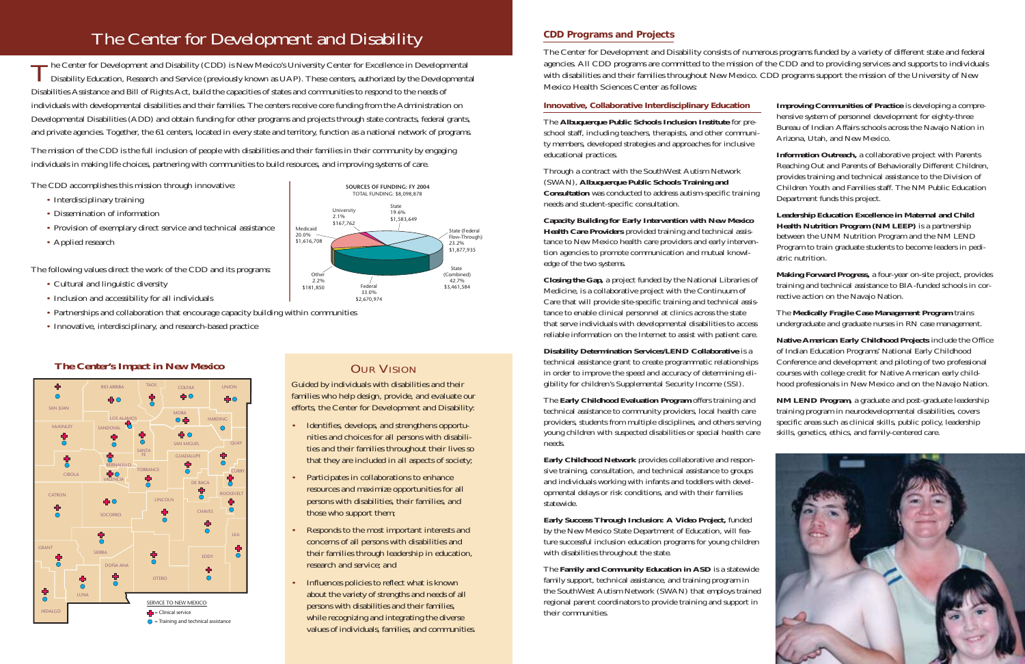#### **Innovative, Collaborative Interdisciplinary Education**

The **Albuquerque Public Schools Inclusion Institute** for preschool staff, including teachers, therapists, and other community members, developed strategies and approaches for inclusive educational practices.

Through a contract with the SouthWest Autism Network (SWAN), **Albuquerque Public Schools Training and** Consultation was conducted to address autism-specific training needs and student-specific consultation.

Closing the Gap, a project funded by the National Libraries of Medicine, is a collaborative project with the Continuum of Care that will provide site-specific training and technical assistance to enable clinical personnel at clinics across the state that serve individuals with developmental disabilities to access reliable information on the Internet to assist with patient care.

**Capacity Building for Early Intervention with New Mexico Health Care Providers** provided training and technical assistance to New Mexico health care providers and early intervention agencies to promote communication and mutual knowledge of the two systems.

**Disability Determination Services/LEND Collaborative** is a technical assistance grant to create programmatic relationship in order to improve the speed and accuracy of determining eligibility for children's Supplemental Security Income (SSI).

**Early Childhood Network** provides collaborative and responsive training, consultation, and technical assistance to groups and individuals working with infants and toddlers with developmental delays or risk conditions, and with their families statewide.

**Early Success Through Inclusion: A Video Project,** funded by the New Mexico State Department of Education, will feature successful inclusion education programs for young children with disabilities throughout the state.

The **Family and Community Education in ASD** is a statewide family support, technical assistance, and training program in the SouthWest Autism Network (SWAN) that employs trained regional parent coordinators to provide training and support in their communities.

The **Early Childhood Evaluation Program** offers training and technical assistance to community providers, local health care providers, students from multiple disciplines, and others serving young children with suspected disabilities or special health care needs. specific areas such as clinical skills, public policy, leadership skills, genetics, ethics, and family-centered care.

The Center for Development and Disability (CDD) is New Mexico's University Center for Excellence in Developmental<br>Disability Education, Research and Service (previously known as UAP). These centers, authorized by the Devel Disabilities Assistance and Bill of Rights Act, build the capacities of states and communities to respond to the needs of individuals with developmental disabilities and their families. The centers receive core funding from the Administration on Developmental Disabilities (ADD) and obtain funding for other programs and projects through state contracts, federal grants, and private agencies. Together, the 61 centers, located in every state and territory, function as a national network of programs.

- Interdisciplinary training
- Dissemination of information
- Provision of exemplary direct service and technical assistance
- Applied research

| $\equiv$<br>ii-  | Improving Communities of Practice is developing a compre-<br>hensive system of personnel development for eighty-three<br>Bureau of Indian Affairs schools across the Navajo Nation in<br>Arizona, Utah, and New Mexico.                                                                                            |
|------------------|--------------------------------------------------------------------------------------------------------------------------------------------------------------------------------------------------------------------------------------------------------------------------------------------------------------------|
| ıg               | Information Outreach, a collaborative project with Parents<br>Reaching Out and Parents of Behaviorally Different Children,<br>provides training and technical assistance to the Division of<br>Children Youth and Families staff. The NM Public Education<br>Department funds this project.                        |
| $\mathfrak{h}$ - | Leadership Education Excellence in Maternal and Child<br>Health Nutrition Program (NM LEEP) is a partnership<br>between the UNM Nutrition Program and the NM LEND<br>Program to train graduate students to become leaders in pedi-<br>atric nutrition.                                                             |
| эf<br>$S-$       | Making Forward Progress, a four-year on-site project, provides<br>training and technical assistance to BIA-funded schools in cor-<br>rective action on the Navajo Nation.                                                                                                                                          |
| SS.              | The Medically Fragile Case Management Program trains<br>undergraduate and graduate nurses in RN case management.                                                                                                                                                                                                   |
| e.<br>)S<br>į-   | Native American Early Childhood Projects include the Office<br>of Indian Education Programs' National Early Childhood<br>Conference and development and piloting of two professional<br>courses with college credit for Native American early child-<br>hood professionals in New Mexico and on the Navajo Nation. |
| ł<br>9           | NM LEND Program, a graduate and post-graduate leadership<br>training program in neurodevelopmental disabilities, covers<br>maaifia anaas suab os aliniaal skille, nublio naliou laadambin                                                                                                                          |



#### **CDD Programs and Projects**

The Center for Development and Disability consists of numerous programs funded by a variety of different state and federal agencies. All CDD programs are committed to the mission of the CDD and to providing services and supports to individuals with disabilities and their families throughout New Mexico. CDD programs support the mission of the University of New Mexico Health Sciences Center as follows:

## The Center for Development and Disability



The mission of the CDD is the full inclusion of people with disabilities and their families in their community by engaging individuals in making life choices, partnering with communities to build resources, and improving systems of care.

The CDD accomplishes this mission through innovative:

The following values direct the work of the CDD and its programs:

- Cultural and linguistic diversity
- Inclusion and accessibility for all individuals
- Partnerships and collaboration that encourage capacity building within communities
- Innovative, interdisciplinary, and research-based practice



**SOURCES OF FUNDING: FY 2004**

### OUR VISION

Guided by individuals with disabilities and their families who help design, provide, and evaluate our efforts, the Center for Development and Disability:

- Identifies, develops, and strengthens opportunities and choices for all persons with disabilities and their families throughout their lives so that they are included in all aspects of society;
- Participates in collaborations to enhance resources and maximize opportunities for all persons with disabilities, their families, and those who support them;
- • Responds to the most important interests and concerns of all persons with disabilities and their families through leadership in education, research and service; and
- Influences policies to reflect what is known about the variety of strengths and needs of all persons with disabilities and their families, while recognizing and integrating the diverse values of individuals, families, and communities.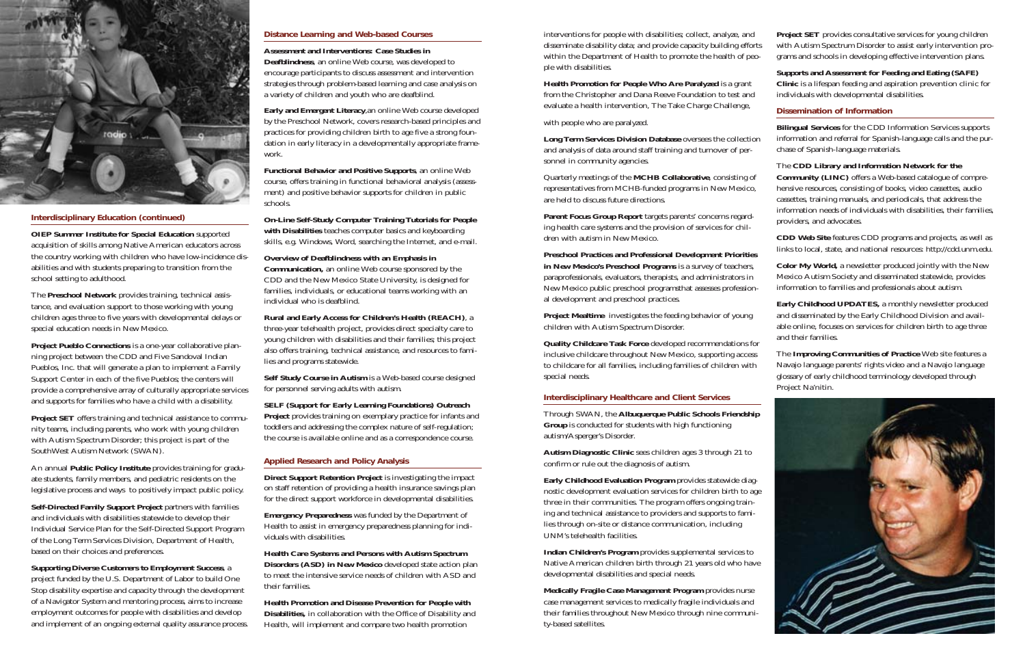interventions for people with disabilities; collect, analyze, and disseminate disability data; and provide capacity building effo within the Department of Health to promote the health of pe ple with disabilities.

**Long Term Services Division Database oversees the collection** and analysis of data around staff training and turnover of personnel in community agencies.

**Health Promotion for People Who Are Paralyzed** is a grant from the Christopher and Dana Reeve Foundation to test and evaluate a health intervention, The Take Charge Challenge,

with people who are paralyzed.

Quarterly meetings of the **MCHB Collaborative**, consisting of representatives from MCHB-funded programs in New Mexico, are held to discuss future directions.

**Quality Childcare Task Force** developed recommendations f inclusive childcare throughout New Mexico, supporting access to childcare for all families, including families of children with special needs.

**Parent Focus Group Report** targets parents' concerns regarding health care systems and the provision of services for children with autism in New Mexico.

**Preschool Practices and Professional Development Priorities in New Mexico's Preschool Programs** is a survey of teachers, paraprofessionals, evaluators, therapists, and administrators in New Mexico public preschool programsthat assesses professional development and preschool practices.

**Project Mealtime** investigates the feeding behavior of young children with Autism Spectrum Disorder.

#### **Interdisciplinary Healthcare and Client Services**

Through SWAN, the **Albuquerque Public Schools Friendship Group** is conducted for students with high functioning autism/Asperger's Disorder.

**Autism Diagnostic Clinic** sees children ages 3 through 21 to confirm or rule out the diagnosis of autism.

**Early Childhood Evaluation Program** provides statewide diagnostic development evaluation services for children birth to age three in their communities. The program offers ongoing training and technical assistance to providers and supports to families through on-site or distance communication, including UNM's telehealth facilities.

**Indian Children's Program** provides supplemental services to Native American children birth through 21 years old who have developmental disabilities and special needs.

**Medically Fragile Case Management Program** provides nurse case management services to medically fragile individuals and their families throughout New Mexico through nine community-based satellites.

| l<br>rts<br>$-0.6$ | Project SET provides consultative services for young children<br>with Autism Spectrum Disorder to assist early intervention pro-<br>grams and schools in developing effective intervention plans.                                                                                                                                                   |
|--------------------|-----------------------------------------------------------------------------------------------------------------------------------------------------------------------------------------------------------------------------------------------------------------------------------------------------------------------------------------------------|
| l                  | <b>Supports and Assessment for Feeding and Eating (SAFE)</b><br>Clinic is a lifespan feeding and aspiration prevention clinic for<br>individuals with developmental disabilities.                                                                                                                                                                   |
|                    | <b>Dissemination of Information</b>                                                                                                                                                                                                                                                                                                                 |
| on                 | Bilingual Services for the CDD Information Services supports<br>information and referral for Spanish-language calls and the pur-<br>chase of Spanish-language materials.                                                                                                                                                                            |
| Ιf<br>),           | The CDD Library and Information Network for the<br>Community (LINC) offers a Web-based catalogue of compre-<br>hensive resources, consisting of books, video cassettes, audio<br>cassettes, training manuals, and periodicals, that address the<br>information needs of individuals with disabilities, their families,<br>providers, and advocates. |
| 'S                 | CDD Web Site features CDD programs and projects, as well as<br>links to local, state, and national resources: http://cdd.unm.edu.                                                                                                                                                                                                                   |
| ,<br>n-            | Color My World, a newsletter produced jointly with the New<br>Mexico Autism Society and disseminated statewide, provides<br>information to families and professionals about autism.                                                                                                                                                                 |
| .<br>or            | Early Childhood UPDATES, a monthly newsletter produced<br>and disseminated by the Early Childhood Division and avail-<br>able online, focuses on services for children birth to age three<br>and their families.                                                                                                                                    |
| SS<br>h            | The Improving Communities of Practice Web site features a<br>Navajo language parents' rights video and a Navajo language<br>glossary of early childhood terminology developed through<br>Project Na'nitin.                                                                                                                                          |
|                    |                                                                                                                                                                                                                                                                                                                                                     |





#### **Interdisciplinary Education (continued)**

**OIEP Summer Institute for Special Education** supported acquisition of skills among Native American educators across the country working with children who have low-incidence disabilities and with students preparing to transition from the school setting to adulthood.

The **Preschool Network** provides training, technical assistance, and evaluation support to those working with young children ages three to five years with developmental delays or special education needs in New Mexico.

**Project Pueblo Connections** is a one-year collaborative planning project between the CDD and Five Sandoval Indian Pueblos, Inc. that will generate a plan to implement a Family Support Center in each of the five Pueblos; the centers will provide a comprehensive array of culturally appropriate services and supports for families who have a child with a disability.

**Project SET** offers training and technical assistance to community teams, including parents, who work with young children with Autism Spectrum Disorder; this project is part of the SouthWest Autism Network (SWAN).

An annual **Public Policy Institute** provides training for graduate students, family members, and pediatric residents on the legislative process and ways to positively impact public policy.

**Self-Directed Family Support Project** partners with families and individuals with disabilities statewide to develop their Individual Service Plan for the Self-Directed Support Program of the Long Term Services Division, Department of Health, based on their choices and preferences.

**Supporting Diverse Customers to Employment Success**, <sup>a</sup> project funded by the U.S. Department of Labor to build One Stop disability expertise and capacity through the development of a Navigator System and mentoring process, aims to increase employment outcomes for people with disabilities and develop and implement of an ongoing external quality assurance process.

#### **Distance Learning and Web-based Courses**

**Assessment and Interventions: Case Studies in Deafblindness**, an online Web course, was developed to encourage participants to discuss assessment and intervention strategies through problem-based learning and case analysis on a variety of children and youth who are deafblind.

**Early and Emergent Literacy**,an online Web course developed by the Preschool Network, covers research-based principles and practices for providing children birth to age five a strong foundation in early literacy in a developmentally appropriate framework.

**Functional Behavior and Positive Supports**, an online Web course, offers training in functional behavioral analysis (assessment) and positive behavior supports for children in public schools.

**On-Line Self-Study Computer Training Tutorials for People with Disabilities** teaches computer basics and keyboarding skills, e.g. Windows, Word, searching the Internet, and e-mail.

**Overview of Deafblindness with an Emphasis in Communication,** an online Web course sponsored by the CDD and the New Mexico State University, is designed for families, individuals, or educational teams working with an individual who is deafblind.

**Rural and Early Access for Children's Health (REACH)**, <sup>a</sup> three-year telehealth project, provides direct specialty care to young children with disabilities and their families; this project also offers training, technical assistance, and resources to families and programs statewide.

**Self Study Course in Autism** is a Web-based course designed for personnel serving adults with autism.

**SELF (Support for Early Learning Foundations) Outreach Project** provides training on exemplary practice for infants and toddlers and addressing the complex nature of self-regulation; the course is available online and as a correspondence course.

#### **Applied Research and Policy Analysis**

**Direct Support Retention Project** is investigating the impact on staff retention of providing a health insurance savings plan for the direct support workforce in developmental disabilities.

**Emergency Preparedness** was funded by the Department of Health to assist in emergency preparedness planning for individuals with disabilities.

**Health Care Systems and Persons with Autism Spectrum Disorders (ASD) in New Mexico** developed state action plan to meet the intensive service needs of children with ASD and their families.

**Health Promotion and Disease Prevention for People with Disabilities,** in collaboration with the Office of Disability and Health, will implement and compare two health promotion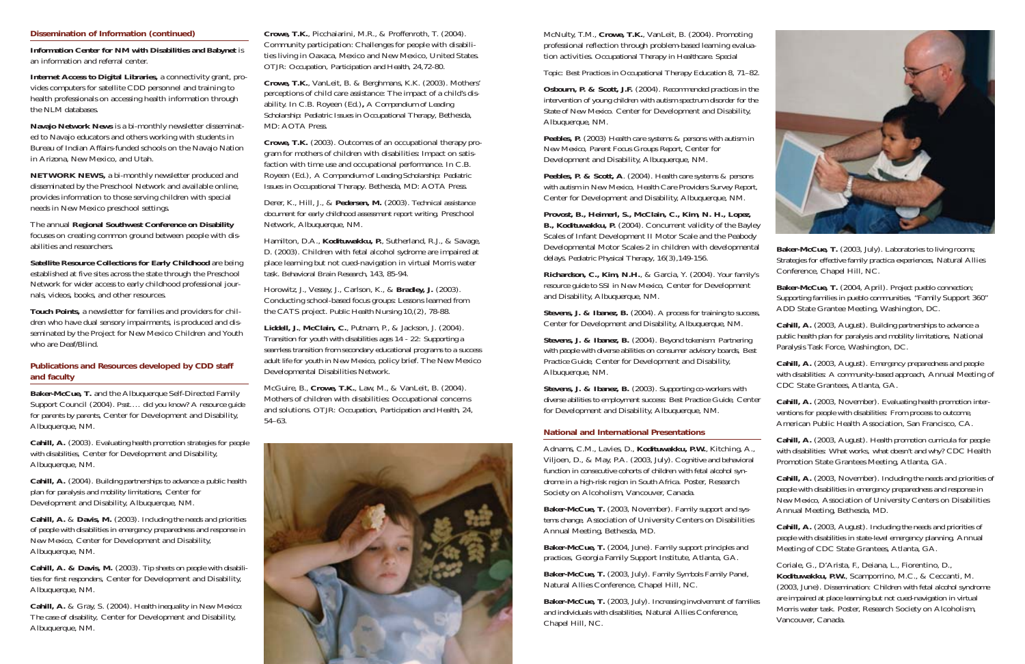McNulty, T.M., **Crowe, T.K.**, VanLeit, B. (2004). Promoting professional reflection through problem-based learning evaluation activities. *Occupational Therapy in Healthcare*. *Special*

*Topic: Best Practices in Occupational Therapy Education* 8, 71–82.

**Osbourn, P. & Scott, J.F.** (2004). *Recommended practices in the intervention of young children with autism spectrum disorder for the State of New Mexico.* Center for Development and Disability, Albuquerque, NM.

**Peebles, P.** (2003) *Health care systems & persons with autism in New Mexico, Parent Focus Groups Report*, Center for Development and Disability, Albuquerque, NM.

**Peebles, P. & Scott, A**. (2004). *Health care systems & persons with autism in New Mexico, Health Care Providers Survey Report,* Center for Development and Disability, Albuquerque, NM.

**Provost, B., Heimerl, S., McClain, C., Kim, N. H., Lopez, B., Kodituwakku, P.** (2004). Concurrent validity of the Bayley Scales of Infant Development II Motor Scale and the Peabody Developmental Motor Scales-2 in children with developmental delays. *Pediatric Physical Therapy*, 16(3),149-156.

**Richardson, C., Kim, N.H.**, & Garcia, Y. (2004). *Your family's resource guide to SSI in New Mexico,* Center for Development and Disability, Albuquerque, NM.

**Stevens, J. & Ibanez, B.** (2004). *A process for training to success,* Center for Development and Disability, Albuquerque, NM.

**Stevens, J. & Ibanez, B.** (2004). *Beyond tokenism: Partnering with people with diverse abilities on consumer advisory boards, Best Practice Guide,* Center for Development and Disability, Albuquerque, NM.

#### **National and International Presentations**

Adnams, C.M., Lavies, D., **Kodituwakku, P.W.**, Kitching, A., Viljoen, D., & May, P.A. (2003, July). *Cognitive and behavioral function in consecutive cohorts of children with fetal alcohol syndrome in a high-risk region in South Africa.* Poster, Research Society on Alcoholism, Vancouver, Canada.

**Baker-McCue, T.** (2003, November). *Family support and systems change,* Association of University Centers on Disabilities Annual Meeting, Bethesda, MD.

**Baker-McCue, T.** (2004, June). *Family support principles and practices,* Georgia Family Support Institute, Atlanta, GA.

**Baker-McCue, T.** (2003, July). *Family Symbols Family Panel,* Natural Allies Conference, Chapel Hill, NC.

**Stevens, J. & Ibanez, B.** (2003). *Supporting co-workers with diverse abilities to employment success: Best Practice Guide,* Center for Development and Disability, Albuquerque, NM. **Cahill, A.** (2003, November). *Evaluating health promotion interventions for people with disabilities: From process to outcome,* American Public Health Association, San Francisco, CA.

**Baker-McCue, T.** (2003, July). *Increasing involvement of families and individuals with disabilities,* Natural Allies Conference, Chapel Hill, NC.

**Baker-McCue, T.** (2003, July). *Laboratories to living rooms; Strategies for effective family practica experiences,* Natural Allies Conference, Chapel Hill, NC.

**Baker-McCue, T.** (2004, April). *Project pueblo connection; Supporting families in pueblo communities,* "Family Support 360" ADD State Grantee Meeting, Washington, DC.

**Cahill, A.** (2003, August). *Building partnerships to advance a public health plan for paralysis and mobility limitations,* National Paralysis Task Force, Washington, DC.

**Cahill, A.** (2003, August). *Emergency preparedness and people with disabilities: A community-based approach,* Annual Meeting of CDC State Grantees, Atlanta, GA.

**Cahill, A.** (2003, August). *Health promotion curricula for people with disabilities: What works, what doesn't and why?* CDC Health Promotion State Grantees Meeting, Atlanta, GA.

**Cahill, A.** (2003, November). *Including the needs and priorities of people with disabilities in emergency preparedness and response in New Mexico,* Association of University Centers on Disabilities Annual Meeting, Bethesda, MD.

**Cahill, A.** (2003, August). *Including the needs and priorities of people with disabilities in state-level emergency planning,* Annual Meeting of CDC State Grantees, Atlanta, GA.

Coriale, G., D'Arista, F., Deiana, L., Fiorentino, D., **Kodituwakku, P.W.**, Scamporrino, M.C., & Ceccanti, M. (2003, June). *Dissemination: Children with fetal alcohol syndrome are impaired at place learning but not cued-navigation in virtual Morris water task.* Poster, Research Society on Alcoholism, Vancouver, Canada.



#### **Dissemination of Information (continued)**

**Information Center for NM with Disabilities and Babynet** is an information and referral center.

**Internet Access to Digital Libraries,** a connectivity grant, provides computers for satellite CDD personnel and training to health professionals on accessing health information through the NLM databases.

**Navajo Network News** is a bi-monthly newsletter disseminated to Navajo educators and others working with students in Bureau of Indian Affairs-funded schools on the Navajo Nation in Arizona, New Mexico, and Utah.

**NETWORK NEWS,** a bi-monthly newsletter produced and disseminated by the Preschool Network and available online, provides information to those serving children with special needs in New Mexico preschool settings.

The annual **Regional Southwest Conference on Disability** focuses on creating common ground between people with disabilities and researchers.

**Satellite Resource Collections for Early Childhood** are being established at five sites across the state through the Preschool Network for wider access to early childhood professional journals, videos, books, and other resources.

**Touch Points,** a newsletter for families and providers for children who have dual sensory impairments, is produced and disseminated by the Project for New Mexico Children and Youth who are Deaf/Blind.

#### **Publications and Resources developed by CDD staff and faculty**

**Baker-McCue, T.** and the Albuquerque Self-Directed Family Support Council (2004). *Psst.... did you know? A resource guide for parents by parents*, Center for Development and Disability, Albuquerque, NM.

**Cahill, A.** (2003). *Evaluating health promotion strategies for people with disabilities,* Center for Development and Disability, Albuquerque, NM.

**Cahill, A.** (2004). *Building partnerships to advance a public health plan for paralysis and mobility limitations,* Center for Development and Disability, Albuquerque, NM.

**Cahill, A.** & **Davis, M.** (2003). *Including the needs and priorities of people with disabilities in emergency preparedness and response in New Mexico,* Center for Development and Disability, Albuquerque, NM.

**Cahill, A. & Davis, M.** (2003). *Tip sheets on people with disabilities for first responders,* Center for Development and Disability, Albuquerque, NM.

**Cahill, A.** & Gray, S. (2004). *Health inequality in New Mexico: The case of disability,* Center for Development and Disability, Albuquerque, NM.

**Crowe, T.K.**, Picchaiarini, M.R., & Proffenroth, T. (2004). Community participation: Challenges for people with disabilities living in Oaxaca, Mexico and New Mexico, United States. *OTJR: Occupation, Participation and Health*, 24,72-80.

**Crowe, T.K.**, VanLeit, B. & Berghmans, K.K. (2003). Mothers' perceptions of child care assistance: The impact of a child's disability. In C.B. Royeen (Ed.)**,** *A Compendium of Leading Scholarship: Pediatric Issues in Occupational Therapy*, Bethesda, MD: AOTA Press.

**Crowe, T.K.** (2003). Outcomes of an occupational therapy program for mothers of children with disabilities: Impact on satisfaction with time use and occupational performance. In C.B. Royeen (Ed.)*, A Compendium of Leading Scholarship: Pediatric Issues in Occupational Therapy*. Bethesda, MD: AOTA Press.

Derer, K., Hill, J., & **Pedersen, M.** (2003). *Technical assistance document for early childhood assessment report writing,* Preschool Network, Albuquerque, NM.

Hamilton, D.A., **Kodituwakku, P.**, Sutherland, R.J., & Savage, D. (2003). Children with fetal alcohol sydrome are impaired at place learning but not cued-navigation in virtual Morris water task. *Behavioral Brain Research*, 143, 85-94.

Horowitz, J., Vessey, J., Carlson, K., & **Bradley, J.** (2003). Conducting school-based focus groups: Lessons learned from the CATS project. *Public Health Nursing* 10,(2), 78-88.

**Liddell, J.**, **McClain, C.**, Putnam, P., & Jackson, J. (2004). *Transition for youth with disabilities ages 14 - 22: Supporting a seamless transition from secondary educational programs to a success adult life for youth in New Mexico*, policy brief. The New Mexico Developmental Disabilities Network.

McGuire, B., **Crowe, T.K.**, Law, M., & VanLeit, B. (2004). Mothers of children with disabilities: Occupational concerns and solutions. *OTJR: Occupation, Participation and Health*, 24, 54–63.

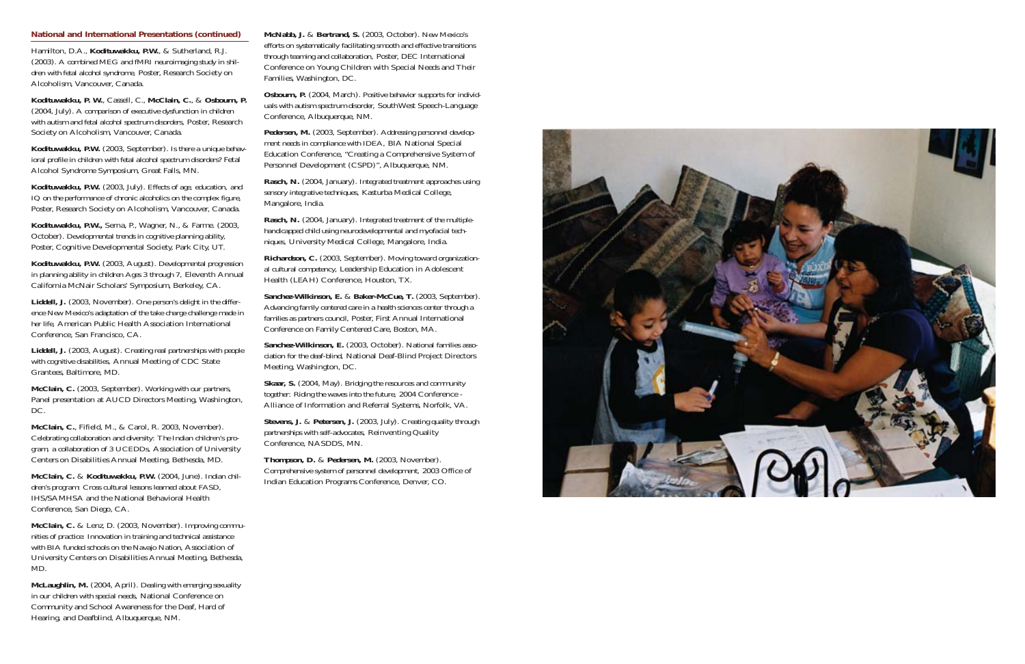#### **National and International Presentations (continued)**

Hamilton, D.A., **Kodituwakku, P.W.**, & Sutherland, R.J. (2003). *A combined MEG and fMRI neuroimaging study in shildren with fetal alcohol syndrome,* Poster, Research Society on Alcoholism, Vancouver, Canada.

**Kodituwakku, P. W.**, Cassell, C., **McClain, C.**, & **Osbourn, P.** (2004, July). *A comparison of executive dysfunction in children with autism and fetal alcohol spectrum disorders,* Poster, Research Society on Alcoholism, Vancouver, Canada.

**Kodituwakku, P.W.** (2003, September). *Is there a unique behavioral profile in children with fetal alcohol spectrum disorders?* Fetal Alcohol Syndrome Symposium, Great Falls, MN.

**Kodituwakku, P.W.** (2003, July). *Effects of age, education, and IQ on the performance of chronic alcoholics on the complex figure,* Poster, Research Society on Alcoholism, Vancouver, Canada.

**Kodituwakku, P.W.,** Serna, P., Wagner, N., & Farme. (2003, October). *Developmental trends in cognitive planning ability,* Poster, Cognitive Developmental Society, Park City, UT.

**Kodituwakku, P.W.** (2003, August). *Developmental progression in planning ability in children Ages 3 through 7,* Eleventh Annual California McNair Scholars' Symposium, Berkeley, CA.

**Liddell, J.** (2003, November). *One person's delight in the difference New Mexico's adaptation of the take charge challenge made in her life,* American Public Health Association International Conference, San Francisco, CA.

**Liddell, J.** (2003, August). *Creating real partnerships with people with cognitive disabilities,* Annual Meeting of CDC State Grantees, Baltimore, MD.

**McClain, C.** (2003, September). *Working with our partners,* Panel presentation at AUCD Directors Meeting, Washington, DC.

**McClain, C.**, Fifield, M., & Carol, R. 2003, November). *Celebrating collaboration and diversity: The Indian children's program, a collaboration of 3 UCEDDs,* Association of University Centers on Disabilities Annual Meeting, Bethesda, MD.

**McClain, C.** & **Kodituwakku, P.W.** (2004, June). *Indian children's program: Cross cultural lessons learned about FASD,* IHS/SAMHSA and the National Behavioral Health Conference, San Diego, CA.

**McClain, C.** & Lenz, D. (2003, November). *Improving communities of practice: Innovation in training and technical assistance with BIA funded schools on the Navajo Nation*, Association of University Centers on Disabilities Annual Meeting, Bethesda, MD.

**McLaughlin, M.** (2004, April). *Dealing with emerging sexuality in our children with special needs,* National Conference on Community and School Awareness for the Deaf, Hard of Hearing, and Deafblind, Albuquerque, NM.

**McNabb, J.** & **Bertrand, S.** (2003, October). *New Mexico's efforts on systematically facilitating smooth and effective transitions through teaming and collaboration,* Poster, DEC International Conference on Young Children with Special Needs and Their Families, Washington, DC.

**Osbourn, P.** (2004, March). *Positive behavior supports for individuals with autism spectrum disorder,* SouthWest Speech-Language Conference, Albuquerque, NM.

**Pedersen, M.** (2003, September). *Addressing personnel development needs in compliance with IDEA,* BIA National Special Education Conference, "Creating a Comprehensive System of Personnel Development (CSPD)", Albuquerque, NM.

**Rasch, N.** (2004, January). *Integrated treatment approaches using sensory integrative techniques,* Kasturba Medical College, Mangalore, India.

**Rasch, N.** (2004, January). I*ntegrated treatment of the multiplehandicapped child using neurodevelopmental and myofacial techniques,* University Medical College, Mangalore, India.

**Richardson, C.** (2003, September). *Moving toward organizational cultural competency,* Leadership Education in Adolescent Health (LEAH) Conference, Houston, TX.

**Sanchez-Wilkinson, E.** & **Baker-McCue, T.** (2003, September). *Advancing family centered care in a health sciences center through a families as partners council,* Poster, First Annual International Conference on Family Centered Care, Boston, MA.

**Sanchez-Wilkinson, E.** (2003, October). *National families association for the deaf-blind,* National Deaf-Blind Project Directors Meeting, Washington, DC.

**Skaar, S.** (2004, May). *Bridging the resources and community together: Riding the waves into the future,* 2004 Conference - Alliance of Information and Referral Systems, Norfolk, VA.

**Stevens, J.** & **Petersen, J.** (2003, July). *Creating quality through partnerships with self-advocates,* Reinventing Quality Conference, NASDDS, MN.

**Thompson, D.** & **Pedersen, M.** (2003, November). *Comprehensive system of personnel development,* 2003 Office of Indian Education Programs Conference, Denver, CO.